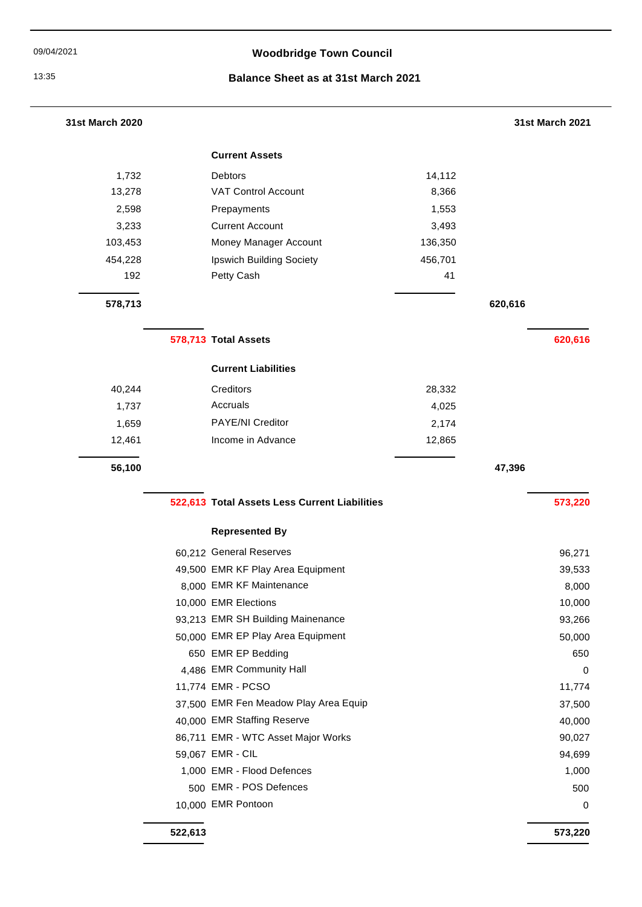# 09/04/2021 **Woodbridge Town Council**

### 13:35 **Balance Sheet as at 31st March 2021**

| 31st March 2020 |                                               |         | 31st March 2021 |
|-----------------|-----------------------------------------------|---------|-----------------|
|                 | <b>Current Assets</b>                         |         |                 |
| 1,732           | Debtors                                       | 14,112  |                 |
| 13,278          | <b>VAT Control Account</b>                    | 8,366   |                 |
| 2,598           | Prepayments                                   | 1,553   |                 |
| 3,233           | <b>Current Account</b>                        | 3,493   |                 |
| 103,453         | Money Manager Account                         | 136,350 |                 |
| 454,228         | Ipswich Building Society                      | 456,701 |                 |
| 192             | Petty Cash                                    | 41      |                 |
| 578,713         |                                               |         | 620,616         |
|                 | 578,713 Total Assets                          |         | 620,616         |
|                 | <b>Current Liabilities</b>                    |         |                 |
| 40,244          | Creditors                                     | 28,332  |                 |
| 1,737           | Accruals                                      | 4,025   |                 |
| 1,659           | PAYE/NI Creditor                              | 2,174   |                 |
| 12,461          | Income in Advance                             | 12,865  |                 |
| 56,100          |                                               |         | 47,396          |
|                 | 522,613 Total Assets Less Current Liabilities |         | 573,220         |
|                 | <b>Represented By</b>                         |         |                 |
|                 | 60,212 General Reserves                       |         | 96,271          |
|                 | 49,500 EMR KF Play Area Equipment             |         | 39,533          |
|                 | 8,000 EMR KF Maintenance                      |         | 8,000           |
|                 | 10,000 EMR Elections                          |         | 10,000          |
|                 | 93,213 EMR SH Building Mainenance             |         | 93,266          |
|                 | 50,000 EMR EP Play Area Equipment             |         | 50,000          |
|                 | 650 EMR EP Bedding                            |         | 650             |
|                 | 4,486 EMR Community Hall                      |         | $\mathbf 0$     |
|                 | 11,774 EMR - PCSO                             |         | 11,774          |
|                 | 37,500 EMR Fen Meadow Play Area Equip         |         | 37,500          |
|                 |                                               |         | 40,000          |
|                 | 40,000 EMR Staffing Reserve                   |         |                 |
|                 | 86,711 EMR - WTC Asset Major Works            |         | 90,027          |
|                 | 59,067 EMR - CIL                              |         | 94,699          |
|                 | 1,000 EMR - Flood Defences                    |         | 1,000           |
|                 | 500 EMR - POS Defences                        |         | 500             |

**522,613 573,220**